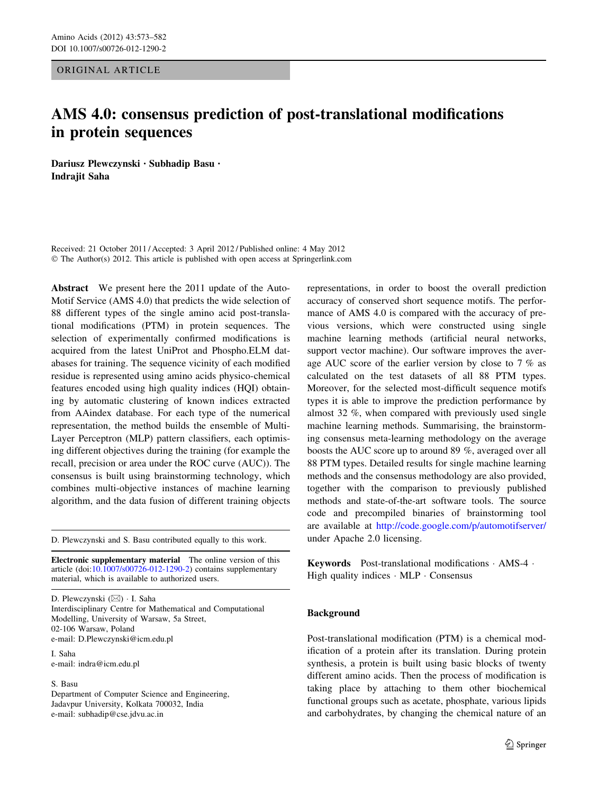<span id="page-0-0"></span>ORIGINAL ARTICLE

# AMS 4.0: consensus prediction of post-translational modifications in protein sequences

Dariusz Plewczynski • Subhadip Basu • Indrajit Saha

Received: 21 October 2011 / Accepted: 3 April 2012 / Published online: 4 May 2012 © The Author(s) 2012. This article is published with open access at Springerlink.com

Abstract We present here the 2011 update of the Auto-Motif Service (AMS 4.0) that predicts the wide selection of 88 different types of the single amino acid post-translational modifications (PTM) in protein sequences. The selection of experimentally confirmed modifications is acquired from the latest UniProt and Phospho.ELM databases for training. The sequence vicinity of each modified residue is represented using amino acids physico-chemical features encoded using high quality indices (HQI) obtaining by automatic clustering of known indices extracted from AAindex database. For each type of the numerical representation, the method builds the ensemble of Multi-Layer Perceptron (MLP) pattern classifiers, each optimising different objectives during the training (for example the recall, precision or area under the ROC curve (AUC)). The consensus is built using brainstorming technology, which combines multi-objective instances of machine learning algorithm, and the data fusion of different training objects

D. Plewczynski and S. Basu contributed equally to this work.

Electronic supplementary material The online version of this article (doi:[10.1007/s00726-012-1290-2\)](http://dx.doi.org/10.1007/s00726-012-1290-2) contains supplementary material, which is available to authorized users.

D. Plewczynski (⊠) · I. Saha Interdisciplinary Centre for Mathematical and Computational Modelling, University of Warsaw, 5a Street, 02-106 Warsaw, Poland e-mail: D.Plewczynski@icm.edu.pl

I. Saha e-mail: indra@icm.edu.pl

#### S. Basu

Department of Computer Science and Engineering, Jadavpur University, Kolkata 700032, India e-mail: subhadip@cse.jdvu.ac.in

representations, in order to boost the overall prediction accuracy of conserved short sequence motifs. The performance of AMS 4.0 is compared with the accuracy of previous versions, which were constructed using single machine learning methods (artificial neural networks, support vector machine). Our software improves the average AUC score of the earlier version by close to 7 % as calculated on the test datasets of all 88 PTM types. Moreover, for the selected most-difficult sequence motifs types it is able to improve the prediction performance by almost 32 %, when compared with previously used single machine learning methods. Summarising, the brainstorming consensus meta-learning methodology on the average boosts the AUC score up to around 89 %, averaged over all 88 PTM types. Detailed results for single machine learning methods and the consensus methodology are also provided, together with the comparison to previously published methods and state-of-the-art software tools. The source code and precompiled binaries of brainstorming tool are available at <http://code.google.com/p/automotifserver/> under Apache 2.0 licensing.

Keywords Post-translational modifications - AMS-4 - High quality indices  $\cdot$  MLP  $\cdot$  Consensus

#### Background

Post-translational modification (PTM) is a chemical modification of a protein after its translation. During protein synthesis, a protein is built using basic blocks of twenty different amino acids. Then the process of modification is taking place by attaching to them other biochemical functional groups such as acetate, phosphate, various lipids and carbohydrates, by changing the chemical nature of an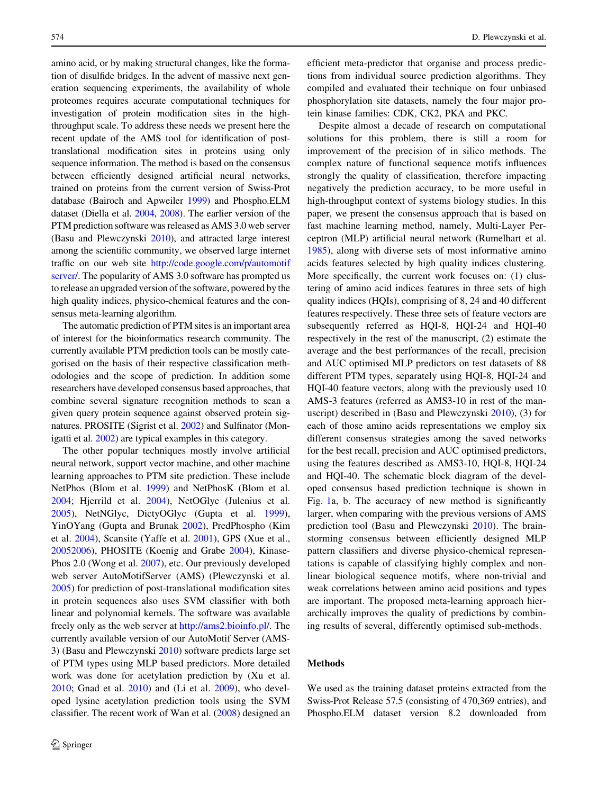amino acid, or by making structural changes, like the formation of disulfide bridges. In the advent of massive next generation sequencing experiments, the availability of whole proteomes requires accurate computational techniques for investigation of protein modification sites in the highthroughput scale. To address these needs we present here the recent update of the AMS tool for identification of posttranslational modification sites in proteins using only sequence information. The method is based on the consensus between efficiently designed artificial neural networks, trained on proteins from the current version of Swiss-Prot database (Bairoch and Apweiler [1999](#page-8-0)) and Phospho.ELM dataset (Diella et al. [2004,](#page-8-0) [2008\)](#page-8-0). The earlier version of the PTM prediction software was released as AMS 3.0 web server (Basu and Plewczynski [2010\)](#page-8-0), and attracted large interest among the scientific community, we observed large internet traffic on our web site [http://code.google.com/p/automotif](http://code.google.com/p/automotifserver/) [server/.](http://code.google.com/p/automotifserver/) The popularity of AMS 3.0 software has prompted us to release an upgraded version of the software, powered by the high quality indices, physico-chemical features and the consensus meta-learning algorithm.

The automatic prediction of PTM sites is an important area of interest for the bioinformatics research community. The currently available PTM prediction tools can be mostly categorised on the basis of their respective classification methodologies and the scope of prediction. In addition some researchers have developed consensus based approaches, that combine several signature recognition methods to scan a given query protein sequence against observed protein signatures. PROSITE (Sigrist et al. [2002\)](#page-9-0) and Sulfinator (Monigatti et al. [2002\)](#page-9-0) are typical examples in this category.

The other popular techniques mostly involve artificial neural network, support vector machine, and other machine learning approaches to PTM site prediction. These include NetPhos (Blom et al. [1999](#page-8-0)) and NetPhosK (Blom et al. [2004;](#page-8-0) Hjerrild et al. [2004\)](#page-8-0), NetOGlyc (Julenius et al. [2005\)](#page-8-0), NetNGlyc, DictyOGlyc (Gupta et al. [1999](#page-8-0)), YinOYang (Gupta and Brunak [2002\)](#page-8-0), PredPhospho (Kim et al. [2004](#page-9-0)), Scansite (Yaffe et al. [2001\)](#page-9-0), GPS (Xue et al., [20052006\)](#page-9-0), PHOSITE (Koenig and Grabe [2004](#page-9-0)), Kinase-Phos 2.0 (Wong et al. [2007](#page-9-0)), etc. Our previously developed web server AutoMotifServer (AMS) (Plewczynski et al. [2005\)](#page-9-0) for prediction of post-translational modification sites in protein sequences also uses SVM classifier with both linear and polynomial kernels. The software was available freely only as the web server at <http://ams2.bioinfo.pl/>. The currently available version of our AutoMotif Server (AMS-3) (Basu and Plewczynski [2010](#page-8-0)) software predicts large set of PTM types using MLP based predictors. More detailed work was done for acetylation prediction by (Xu et al. [2010;](#page-9-0) Gnad et al. [2010\)](#page-8-0) and (Li et al. [2009\)](#page-9-0), who developed lysine acetylation prediction tools using the SVM classifier. The recent work of Wan et al. [\(2008](#page-9-0)) designed an efficient meta-predictor that organise and process predictions from individual source prediction algorithms. They compiled and evaluated their technique on four unbiased phosphorylation site datasets, namely the four major protein kinase families: CDK, CK2, PKA and PKC.

Despite almost a decade of research on computational solutions for this problem, there is still a room for improvement of the precision of in silico methods. The complex nature of functional sequence motifs influences strongly the quality of classification, therefore impacting negatively the prediction accuracy, to be more useful in high-throughput context of systems biology studies. In this paper, we present the consensus approach that is based on fast machine learning method, namely, Multi-Layer Perceptron (MLP) artificial neural network (Rumelhart et al. [1985](#page-9-0)), along with diverse sets of most informative amino acids features selected by high quality indices clustering. More specifically, the current work focuses on: (1) clustering of amino acid indices features in three sets of high quality indices (HQIs), comprising of 8, 24 and 40 different features respectively. These three sets of feature vectors are subsequently referred as HQI-8, HQI-24 and HQI-40 respectively in the rest of the manuscript, (2) estimate the average and the best performances of the recall, precision and AUC optimised MLP predictors on test datasets of 88 different PTM types, separately using HQI-8, HQI-24 and HQI-40 feature vectors, along with the previously used 10 AMS-3 features (referred as AMS3-10 in rest of the manuscript) described in (Basu and Plewczynski [2010](#page-8-0)), (3) for each of those amino acids representations we employ six different consensus strategies among the saved networks for the best recall, precision and AUC optimised predictors, using the features described as AMS3-10, HQI-8, HQI-24 and HQI-40. The schematic block diagram of the developed consensus based prediction technique is shown in Fig. [1](#page-2-0)a, b. The accuracy of new method is significantly larger, when comparing with the previous versions of AMS prediction tool (Basu and Plewczynski [2010\)](#page-8-0). The brainstorming consensus between efficiently designed MLP pattern classifiers and diverse physico-chemical representations is capable of classifying highly complex and nonlinear biological sequence motifs, where non-trivial and weak correlations between amino acid positions and types are important. The proposed meta-learning approach hierarchically improves the quality of predictions by combining results of several, differently optimised sub-methods.

## Methods

We used as the training dataset proteins extracted from the Swiss-Prot Release 57.5 (consisting of 470,369 entries), and Phospho.ELM dataset version 8.2 downloaded from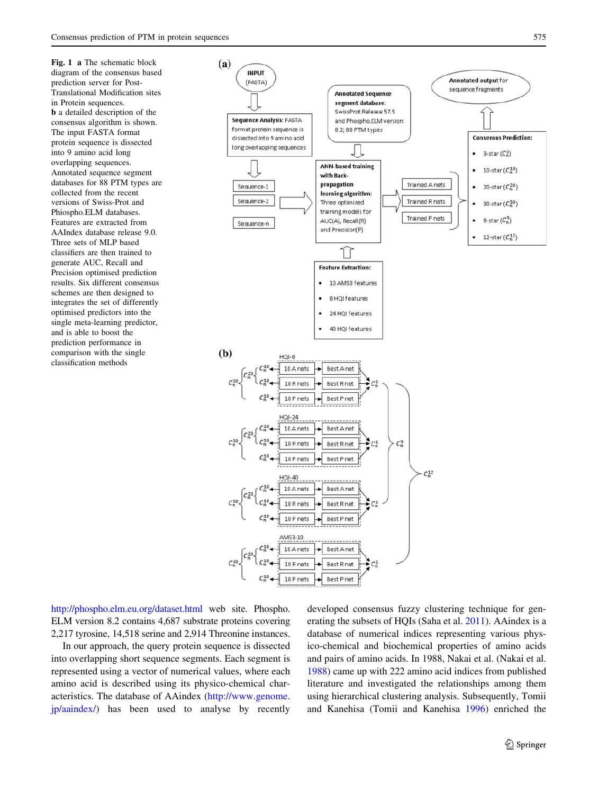<span id="page-2-0"></span>Fig. 1 a The schematic block diagram of the consensus based prediction server for Post-Translational Modification sites in Protein sequences. b a detailed description of the consensus algorithm is shown. The input FASTA format protein sequence is dissected into 9 amino acid long overlapping sequences. Annotated sequence segment databases for 88 PTM types are collected from the recent versions of Swiss-Prot and Phiospho.ELM databases. Features are extracted from AAIndex database release 9.0. Three sets of MLP based classifiers are then trained to generate AUC, Recall and Precision optimised prediction results. Six different consensus schemes are then designed to integrates the set of differently optimised predictors into the single meta-learning predictor, and is able to boost the prediction performance in comparison with the single classification methods



<http://phospho.elm.eu.org/dataset.html> web site. Phospho. ELM version 8.2 contains 4,687 substrate proteins covering 2,217 tyrosine, 14,518 serine and 2,914 Threonine instances.

In our approach, the query protein sequence is dissected into overlapping short sequence segments. Each segment is represented using a vector of numerical values, where each amino acid is described using its physico-chemical characteristics. The database of AAindex ([http://www.genome.](http://www.genome.jp/aaindex/) [jp/aaindex/\)](http://www.genome.jp/aaindex/) has been used to analyse by recently developed consensus fuzzy clustering technique for generating the subsets of HQIs (Saha et al. [2011\)](#page-9-0). AAindex is a database of numerical indices representing various physico-chemical and biochemical properties of amino acids and pairs of amino acids. In 1988, Nakai et al. (Nakai et al. [1988](#page-9-0)) came up with 222 amino acid indices from published literature and investigated the relationships among them using hierarchical clustering analysis. Subsequently, Tomii and Kanehisa (Tomii and Kanehisa [1996\)](#page-9-0) enriched the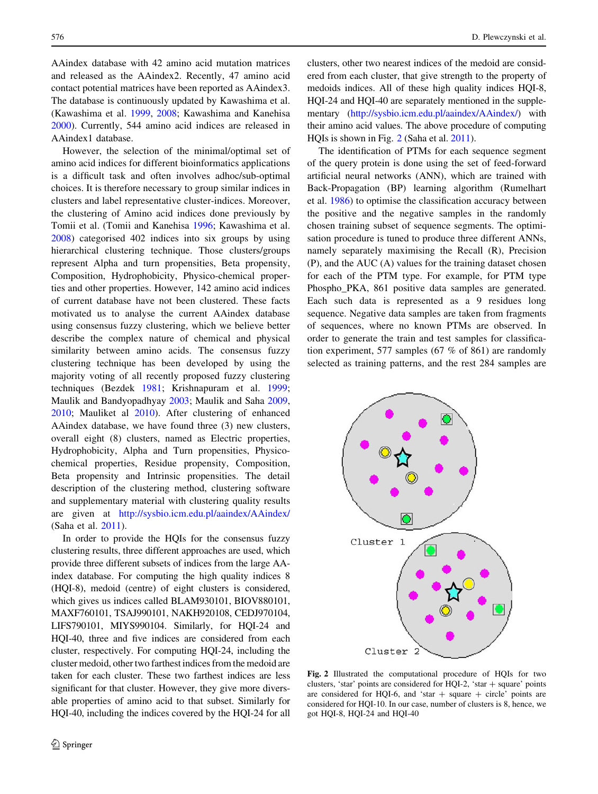AAindex database with 42 amino acid mutation matrices and released as the AAindex2. Recently, 47 amino acid contact potential matrices have been reported as AAindex3. The database is continuously updated by Kawashima et al. (Kawashima et al. [1999,](#page-9-0) [2008](#page-9-0); Kawashima and Kanehisa [2000\)](#page-9-0). Currently, 544 amino acid indices are released in AAindex1 database.

However, the selection of the minimal/optimal set of amino acid indices for different bioinformatics applications is a difficult task and often involves adhoc/sub-optimal choices. It is therefore necessary to group similar indices in clusters and label representative cluster-indices. Moreover, the clustering of Amino acid indices done previously by Tomii et al. (Tomii and Kanehisa [1996](#page-9-0); Kawashima et al. [2008\)](#page-9-0) categorised 402 indices into six groups by using hierarchical clustering technique. Those clusters/groups represent Alpha and turn propensities, Beta propensity, Composition, Hydrophobicity, Physico-chemical properties and other properties. However, 142 amino acid indices of current database have not been clustered. These facts motivated us to analyse the current AAindex database using consensus fuzzy clustering, which we believe better describe the complex nature of chemical and physical similarity between amino acids. The consensus fuzzy clustering technique has been developed by using the majority voting of all recently proposed fuzzy clustering techniques (Bezdek [1981](#page-8-0); Krishnapuram et al. [1999](#page-9-0); Maulik and Bandyopadhyay [2003;](#page-9-0) Maulik and Saha [2009,](#page-9-0) [2010;](#page-9-0) Mauliket al [2010](#page-9-0)). After clustering of enhanced AAindex database, we have found three (3) new clusters, overall eight (8) clusters, named as Electric properties, Hydrophobicity, Alpha and Turn propensities, Physicochemical properties, Residue propensity, Composition, Beta propensity and Intrinsic propensities. The detail description of the clustering method, clustering software and supplementary material with clustering quality results are given at <http://sysbio.icm.edu.pl/aaindex/AAindex/> (Saha et al. [2011\)](#page-9-0).

In order to provide the HQIs for the consensus fuzzy clustering results, three different approaches are used, which provide three different subsets of indices from the large AAindex database. For computing the high quality indices 8 (HQI-8), medoid (centre) of eight clusters is considered, which gives us indices called BLAM930101, BIOV880101, MAXF760101, TSAJ990101, NAKH920108, CEDJ970104, LIFS790101, MIYS990104. Similarly, for HQI-24 and HQI-40, three and five indices are considered from each cluster, respectively. For computing HQI-24, including the cluster medoid, other two farthest indices from the medoid are taken for each cluster. These two farthest indices are less significant for that cluster. However, they give more diversable properties of amino acid to that subset. Similarly for HQI-40, including the indices covered by the HQI-24 for all clusters, other two nearest indices of the medoid are considered from each cluster, that give strength to the property of medoids indices. All of these high quality indices HQI-8, HQI-24 and HQI-40 are separately mentioned in the supplementary [\(http://sysbio.icm.edu.pl/aaindex/AAindex/\)](http://sysbio.icm.edu.pl/aaindex/AAindex/) with their amino acid values. The above procedure of computing HQIs is shown in Fig. 2 (Saha et al. [2011\)](#page-9-0).

The identification of PTMs for each sequence segment of the query protein is done using the set of feed-forward artificial neural networks (ANN), which are trained with Back-Propagation (BP) learning algorithm (Rumelhart et al. [1986\)](#page-9-0) to optimise the classification accuracy between the positive and the negative samples in the randomly chosen training subset of sequence segments. The optimisation procedure is tuned to produce three different ANNs, namely separately maximising the Recall (R), Precision (P), and the AUC (A) values for the training dataset chosen for each of the PTM type. For example, for PTM type Phospho\_PKA, 861 positive data samples are generated. Each such data is represented as a 9 residues long sequence. Negative data samples are taken from fragments of sequences, where no known PTMs are observed. In order to generate the train and test samples for classification experiment, 577 samples (67 % of 861) are randomly selected as training patterns, and the rest 284 samples are



Fig. 2 Illustrated the computational procedure of HQIs for two clusters, 'star' points are considered for HQI-2, 'star  $+$  square' points are considered for HQI-6, and 'star  $+$  square  $+$  circle' points are considered for HQI-10. In our case, number of clusters is 8, hence, we got HQI-8, HQI-24 and HQI-40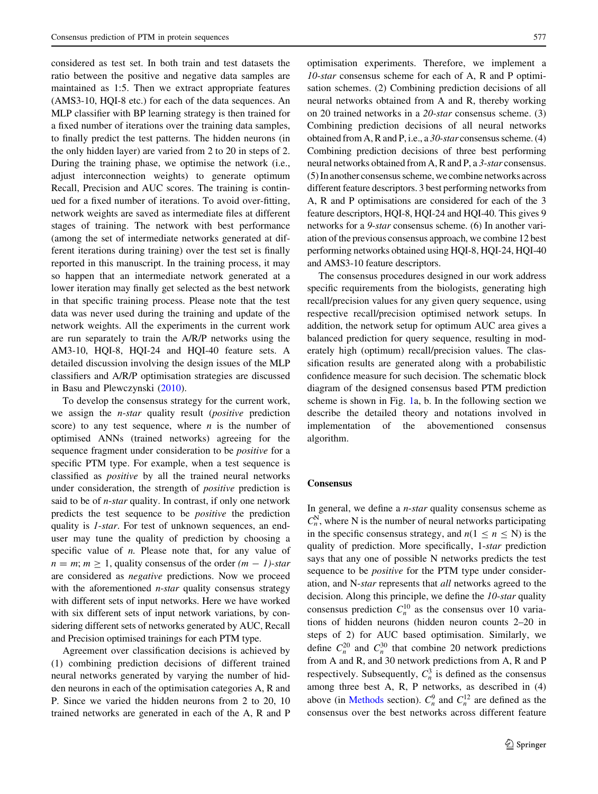considered as test set. In both train and test datasets the ratio between the positive and negative data samples are maintained as 1:5. Then we extract appropriate features (AMS3-10, HQI-8 etc.) for each of the data sequences. An MLP classifier with BP learning strategy is then trained for a fixed number of iterations over the training data samples, to finally predict the test patterns. The hidden neurons (in the only hidden layer) are varied from 2 to 20 in steps of 2. During the training phase, we optimise the network (i.e., adjust interconnection weights) to generate optimum Recall, Precision and AUC scores. The training is continued for a fixed number of iterations. To avoid over-fitting, network weights are saved as intermediate files at different stages of training. The network with best performance (among the set of intermediate networks generated at different iterations during training) over the test set is finally reported in this manuscript. In the training process, it may so happen that an intermediate network generated at a lower iteration may finally get selected as the best network in that specific training process. Please note that the test data was never used during the training and update of the network weights. All the experiments in the current work are run separately to train the A/R/P networks using the AM3-10, HQI-8, HQI-24 and HQI-40 feature sets. A detailed discussion involving the design issues of the MLP classifiers and A/R/P optimisation strategies are discussed in Basu and Plewczynski [\(2010](#page-8-0)).

To develop the consensus strategy for the current work, we assign the *n-star* quality result (*positive* prediction score) to any test sequence, where  $n$  is the number of optimised ANNs (trained networks) agreeing for the sequence fragment under consideration to be *positive* for a specific PTM type. For example, when a test sequence is classified as positive by all the trained neural networks under consideration, the strength of positive prediction is said to be of  $n$ -star quality. In contrast, if only one network predicts the test sequence to be positive the prediction quality is 1-star. For test of unknown sequences, an enduser may tune the quality of prediction by choosing a specific value of  $n$ . Please note that, for any value of  $n = m$ ;  $m > 1$ , quality consensus of the order  $(m - 1)$ -star are considered as negative predictions. Now we proceed with the aforementioned  $n$ -star quality consensus strategy with different sets of input networks. Here we have worked with six different sets of input network variations, by considering different sets of networks generated by AUC, Recall and Precision optimised trainings for each PTM type.

Agreement over classification decisions is achieved by (1) combining prediction decisions of different trained neural networks generated by varying the number of hidden neurons in each of the optimisation categories A, R and P. Since we varied the hidden neurons from 2 to 20, 10 trained networks are generated in each of the A, R and P optimisation experiments. Therefore, we implement a 10-star consensus scheme for each of A, R and P optimisation schemes. (2) Combining prediction decisions of all neural networks obtained from A and R, thereby working on 20 trained networks in a 20-star consensus scheme. (3) Combining prediction decisions of all neural networks obtained from A, R and P, i.e., a 30-star consensus scheme. (4) Combining prediction decisions of three best performing neural networks obtained from A, R and P, a 3-star consensus. (5) In another consensus scheme, we combine networks across different feature descriptors. 3 best performing networks from A, R and P optimisations are considered for each of the 3 feature descriptors, HQI-8, HQI-24 and HQI-40. This gives 9 networks for a 9-star consensus scheme. (6) In another variation of the previous consensus approach, we combine 12 best performing networks obtained using HQI-8, HQI-24, HQI-40 and AMS3-10 feature descriptors.

The consensus procedures designed in our work address specific requirements from the biologists, generating high recall/precision values for any given query sequence, using respective recall/precision optimised network setups. In addition, the network setup for optimum AUC area gives a balanced prediction for query sequence, resulting in moderately high (optimum) recall/precision values. The classification results are generated along with a probabilistic confidence measure for such decision. The schematic block diagram of the designed consensus based PTM prediction scheme is shown in Fig. [1a](#page-2-0), b. In the following section we describe the detailed theory and notations involved in implementation of the abovementioned consensus algorithm.

#### **Consensus**

In general, we define a  $n$ -star quality consensus scheme as  $C_n^N$ , where N is the number of neural networks participating in the specific consensus strategy, and  $n(1 \le n \le N)$  is the quality of prediction. More specifically, 1-star prediction says that any one of possible N networks predicts the test sequence to be *positive* for the PTM type under consideration, and N-star represents that all networks agreed to the decision. Along this principle, we define the 10-star quality consensus prediction  $C_n^{10}$  as the consensus over 10 variations of hidden neurons (hidden neuron counts 2–20 in steps of 2) for AUC based optimisation. Similarly, we define  $C_n^{20}$  and  $C_n^{30}$  that combine 20 network predictions from A and R, and 30 network predictions from A, R and P respectively. Subsequently,  $C_n^3$  is defined as the consensus among three best A, R, P networks, as described in (4) above (in [Methods](#page-0-0) section).  $C_n^9$  and  $C_n^{12}$  are defined as the consensus over the best networks across different feature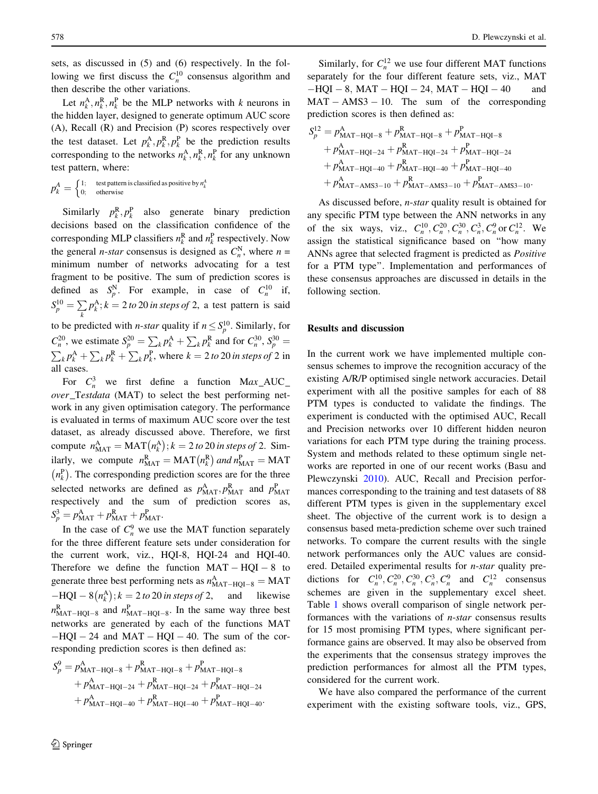sets, as discussed in (5) and (6) respectively. In the following we first discuss the  $C_n^{10}$  consensus algorithm and then describe the other variations.

Let  $n_k^{\text{A}}, n_k^{\text{R}}, n_k^{\text{P}}$  be the MLP networks with k neurons in the hidden layer, designed to generate optimum AUC score (A), Recall (R) and Precision (P) scores respectively over the test dataset. Let  $p_k^A, p_k^R, p_k^P$  be the prediction results corresponding to the networks  $n_k^A, n_k^R, n_k^P$  for any unknown test pattern, where:

$$
p_k^A = \begin{cases} 1; & \text{test pattern is classified as positive by } n_k^A \\ 0; & \text{otherwise} \end{cases}
$$

Similarly  $p_k^R$ ,  $p_k^P$  also generate binary prediction decisions based on the classification confidence of the corresponding MLP classifiers  $n_k^R$  and  $n_k^P$  respectively. Now the general *n*-star consensus is designed as  $C_n^N$ , where  $n =$ minimum number of networks advocating for a test fragment to be positive. The sum of prediction scores is defined as  $S_p^N$ . For example, in case of  $C_n^{10}$  if,  $S_p^{10} = \sum_{k}$  $p_k^{\text{A}}$ ;  $k = 2$  to 20 in steps of 2, a test pattern is said to be predicted with *n*-star quality if  $n \leq S_p^{10}$ . Similarly, for  $C_n^{20}$ , we estimate  $S_p^{20} = \sum_k p_k^A + \sum_k p_k^R$  and for  $C_n^{30}$ ,  $S_p^{30} =$ <br> $\sum_k p_k^A + \sum_k p_k^R$  where  $k = 2$  to 20 in staps of 2 in  $k_{k}p_{k}^{\mathsf{A}} + \sum_{k} p_{k}^{\mathsf{R}} + \sum_{k} p_{k}^{\mathsf{P}}$ , where  $k = 2$  to 20 in steps of 2 in all cases.

For  $C_n^3$  we first define a function Max\_AUC over Testdata (MAT) to select the best performing network in any given optimisation category. The performance is evaluated in terms of maximum AUC score over the test dataset, as already discussed above. Therefore, we first compute  $n_{\text{MAT}}^{\text{A}} = \text{MAT}(n_k^{\text{A}})$  $\mathcal{L}(n_k^{\mathbf{A}}); k = 2 \text{ to } 20 \text{ in steps of } 2.$  Similarly, we compute  $n_{\text{MAT}}^{\text{R}} = \text{MAT}(n_k^{\text{R}})$  and  $n_{\text{MAT}}^{\text{P}} = \text{MAT}$  $n_k^{\rm P}$  $\binom{P}{r_k}$ . The corresponding prediction scores are for the three selected networks are defined as  $p_{\text{MAT}}^{\text{A}}, p_{\text{MAT}}^{\text{R}}$  and  $p_{\text{MAT}}^{\text{P}}$ respectively and the sum of prediction scores as,  $S_p^3 = p_{\text{MAT}}^{\text{A}} + p_{\text{MAT}}^{\text{R}} + p_{\text{MAT}}^{\text{P}}.$ 

In the case of  $C_n^9$  we use the MAT function separately for the three different feature sets under consideration for the current work, viz., HQI-8, HQI-24 and HQI-40. Therefore we define the function  $MAT - HQI - 8$  to generate three best performing nets as  $n_{\text{MAT-HQI-8}}^{\text{A}} = \text{MAT}$  $-HQI - 8(n_k^A)$  $(n_k^{\text{A}}); k = 2 \text{ to } 20 \text{ in steps of } 2$ , and likewise  $n_{\text{MAT-HQI-8}}^R$  and  $n_{\text{MAT-HQI-8}}^P$ . In the same way three best networks are generated by each of the functions MAT  $-HQI - 24$  and  $MAT - HQI - 40$ . The sum of the corresponding prediction scores is then defined as:

$$
S_p^9 = p_{\text{MAT-HQI-8}}^{\text{A}} + p_{\text{MAT-HQI-8}}^{\text{R}} + p_{\text{MAT-HQI-8}}^{\text{R}} + p_{\text{MAT-HQI-24}}^{\text{R}} + p_{\text{MAT-HQI-24}}^{\text{R}} + p_{\text{MAT-HQI-24}}^{\text{R}} + p_{\text{MAT-HQI-40}}^{\text{R}} + p_{\text{MAT-HQI-40}}^{\text{R}} + p_{\text{MAT-HQI-40}}^{\text{R}} + p_{\text{MAT-HQI-40}}^{\text{R}}.
$$

578 D. Plewczynski et al.

Similarly, for  $C_n^{12}$  we use four different MAT functions separately for the four different feature sets, viz., MAT  $-HQI - 8$ , MAT  $-HQI - 24$ , MAT  $-HQI - 40$  and  $MAT - AMS3 - 10$ . The sum of the corresponding prediction scores is then defined as:

$$
S_{p}^{12} = p_{\text{MAT-HQI-8}}^{A} + p_{\text{MAT-HQI-8}}^{R} + p_{\text{MAT-HQI-8}}^{R}
$$
  
+  $p_{\text{MAT-HQI-24}}^{A} + p_{\text{MAT-HQI-24}}^{R} + p_{\text{MAT-HQI-24}}^{R}$   
+  $p_{\text{MAT-HQI-40}}^{A} + p_{\text{MAT-HQI-40}}^{R} + p_{\text{MAT-HQI-40}}^{R}$   
+  $p_{\text{MAT-AMS3-10}}^{A} + p_{\text{MAT-ANS3-10}}^{R} + p_{\text{MAT-AMS3-10}}^{R}$ 

As discussed before, n-star quality result is obtained for any specific PTM type between the ANN networks in any of the six ways, viz.,  $C_n^{10}, C_n^{20}, C_n^{30}, C_n^{3}, C_n^{9}$  or  $C_n^{12}$ . We assign the statistical significance based on ''how many ANNs agree that selected fragment is predicted as Positive for a PTM type''. Implementation and performances of these consensus approaches are discussed in details in the following section.

### Results and discussion

In the current work we have implemented multiple consensus schemes to improve the recognition accuracy of the existing A/R/P optimised single network accuracies. Detail experiment with all the positive samples for each of 88 PTM types is conducted to validate the findings. The experiment is conducted with the optimised AUC, Recall and Precision networks over 10 different hidden neuron variations for each PTM type during the training process. System and methods related to these optimum single networks are reported in one of our recent works (Basu and Plewczynski [2010](#page-8-0)). AUC, Recall and Precision performances corresponding to the training and test datasets of 88 different PTM types is given in the supplementary excel sheet. The objective of the current work is to design a consensus based meta-prediction scheme over such trained networks. To compare the current results with the single network performances only the AUC values are considered. Detailed experimental results for *n-star* quality predictions for  $C_n^{10}, C_n^{20}, C_n^{30}, C_n^{3}, C_n^{9}$  and  $C_n^{12}$  consensus schemes are given in the supplementary excel sheet. Table [1](#page-6-0) shows overall comparison of single network performances with the variations of n-star consensus results for 15 most promising PTM types, where significant performance gains are observed. It may also be observed from the experiments that the consensus strategy improves the prediction performances for almost all the PTM types, considered for the current work.

We have also compared the performance of the current experiment with the existing software tools, viz., GPS,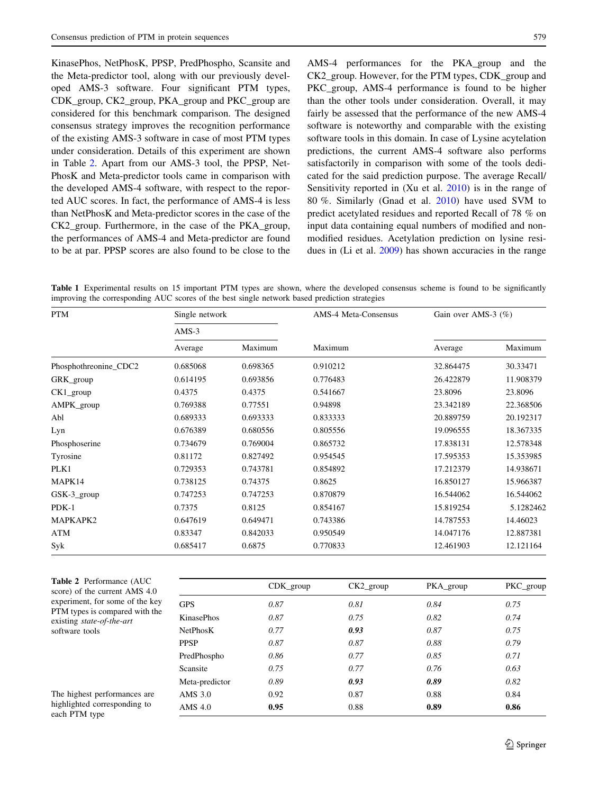<span id="page-6-0"></span>KinasePhos, NetPhosK, PPSP, PredPhospho, Scansite and the Meta-predictor tool, along with our previously developed AMS-3 software. Four significant PTM types, CDK\_group, CK2\_group, PKA\_group and PKC\_group are considered for this benchmark comparison. The designed consensus strategy improves the recognition performance of the existing AMS-3 software in case of most PTM types under consideration. Details of this experiment are shown in Table 2. Apart from our AMS-3 tool, the PPSP, Net-PhosK and Meta-predictor tools came in comparison with the developed AMS-4 software, with respect to the reported AUC scores. In fact, the performance of AMS-4 is less than NetPhosK and Meta-predictor scores in the case of the CK2\_group. Furthermore, in the case of the PKA\_group, the performances of AMS-4 and Meta-predictor are found to be at par. PPSP scores are also found to be close to the

AMS-4 performances for the PKA\_group and the CK2\_group. However, for the PTM types, CDK\_group and PKC group, AMS-4 performance is found to be higher than the other tools under consideration. Overall, it may fairly be assessed that the performance of the new AMS-4 software is noteworthy and comparable with the existing software tools in this domain. In case of Lysine acytelation predictions, the current AMS-4 software also performs satisfactorily in comparison with some of the tools dedicated for the said prediction purpose. The average Recall/ Sensitivity reported in (Xu et al. [2010\)](#page-9-0) is in the range of 80 %. Similarly (Gnad et al. [2010](#page-8-0)) have used SVM to predict acetylated residues and reported Recall of 78 % on input data containing equal numbers of modified and nonmodified residues. Acetylation prediction on lysine residues in (Li et al. [2009\)](#page-9-0) has shown accuracies in the range

Table 1 Experimental results on 15 important PTM types are shown, where the developed consensus scheme is found to be significantly improving the corresponding AUC scores of the best single network based prediction strategies

| <b>PTM</b>            | Single network<br>$AMS-3$ |          | AMS-4 Meta-Consensus | Gain over AMS-3 (%) |           |
|-----------------------|---------------------------|----------|----------------------|---------------------|-----------|
|                       |                           |          |                      |                     |           |
|                       | Average                   | Maximum  | Maximum              | Average             | Maximum   |
| Phosphothreonine_CDC2 | 0.685068                  | 0.698365 | 0.910212             | 32.864475           | 30.33471  |
| GRK_group             | 0.614195                  | 0.693856 | 0.776483             | 26.422879           | 11.908379 |
| CK1_group             | 0.4375                    | 0.4375   | 0.541667             | 23.8096             | 23.8096   |
| AMPK_group            | 0.769388                  | 0.77551  | 0.94898              | 23.342189           | 22.368506 |
| Abl                   | 0.689333                  | 0.693333 | 0.833333             | 20.889759           | 20.192317 |
| Lyn                   | 0.676389                  | 0.680556 | 0.805556             | 19.096555           | 18.367335 |
| Phosphoserine         | 0.734679                  | 0.769004 | 0.865732             | 17.838131           | 12.578348 |
| Tyrosine              | 0.81172                   | 0.827492 | 0.954545             | 17.595353           | 15.353985 |
| PLK1                  | 0.729353                  | 0.743781 | 0.854892             | 17.212379           | 14.938671 |
| MAPK14                | 0.738125                  | 0.74375  | 0.8625               | 16.850127           | 15.966387 |
| GSK-3_group           | 0.747253                  | 0.747253 | 0.870879             | 16.544062           | 16.544062 |
| $PDK-1$               | 0.7375                    | 0.8125   | 0.854167             | 15.819254           | 5.1282462 |
| MAPKAPK2              | 0.647619                  | 0.649471 | 0.743386             | 14.787553           | 14.46023  |
| ATM                   | 0.83347                   | 0.842033 | 0.950549             | 14.047176           | 12.887381 |
| Syk                   | 0.685417                  | 0.6875   | 0.770833             | 12.461903           | 12.121164 |

| Table 2 Performance (AUC        |
|---------------------------------|
| score) of the current AMS 4.0   |
| experiment, for some of the key |
| PTM types is compared with the  |
| existing state-of-the-art       |
| software tools                  |

The highest performances are highlighted corresponding to each PTM type

|                   | $CDK_{group}$ | $CK2$ _group | PKA_group | PKC_group |
|-------------------|---------------|--------------|-----------|-----------|
| <b>GPS</b>        | 0.87          | 0.81         | 0.84      | 0.75      |
| <b>KinasePhos</b> | 0.87          | 0.75         | 0.82      | 0.74      |
| <b>NetPhosK</b>   | 0.77          | 0.93         | 0.87      | 0.75      |
| <b>PPSP</b>       | 0.87          | 0.87         | 0.88      | 0.79      |
| PredPhospho       | 0.86          | 0.77         | 0.85      | 0.71      |
| Scansite          | 0.75          | 0.77         | 0.76      | 0.63      |
| Meta-predictor    | 0.89          | 0.93         | 0.89      | 0.82      |
| AMS 3.0           | 0.92          | 0.87         | 0.88      | 0.84      |
| AMS 4.0           | 0.95          | 0.88         | 0.89      | 0.86      |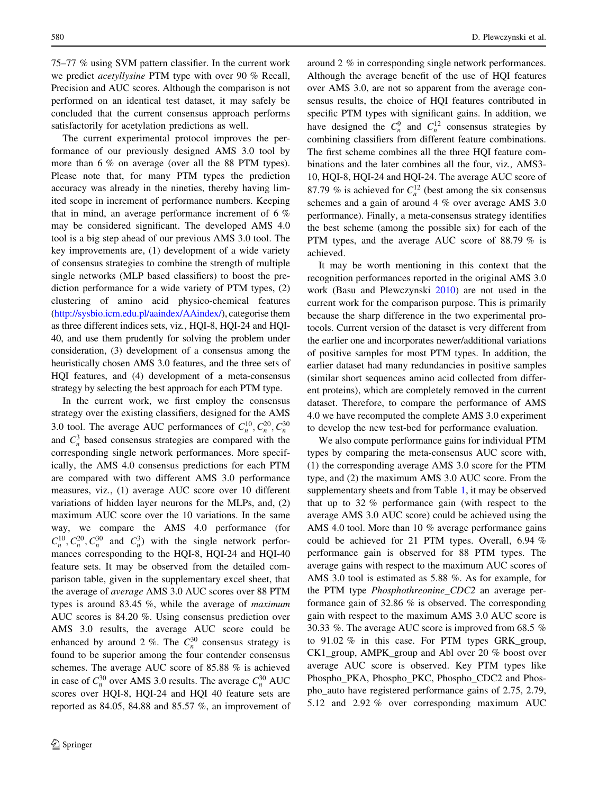75–77 % using SVM pattern classifier. In the current work we predict acetyllysine PTM type with over 90 % Recall, Precision and AUC scores. Although the comparison is not performed on an identical test dataset, it may safely be concluded that the current consensus approach performs satisfactorily for acetylation predictions as well.

The current experimental protocol improves the performance of our previously designed AMS 3.0 tool by more than 6 % on average (over all the 88 PTM types). Please note that, for many PTM types the prediction accuracy was already in the nineties, thereby having limited scope in increment of performance numbers. Keeping that in mind, an average performance increment of 6 % may be considered significant. The developed AMS 4.0 tool is a big step ahead of our previous AMS 3.0 tool. The key improvements are, (1) development of a wide variety of consensus strategies to combine the strength of multiple single networks (MLP based classifiers) to boost the prediction performance for a wide variety of PTM types, (2) clustering of amino acid physico-chemical features [\(http://sysbio.icm.edu.pl/aaindex/AAindex/\)](http://sysbio.icm.edu.pl/aaindex/AAindex/), categorise them as three different indices sets, viz., HQI-8, HQI-24 and HQI-40, and use them prudently for solving the problem under consideration, (3) development of a consensus among the heuristically chosen AMS 3.0 features, and the three sets of HQI features, and (4) development of a meta-consensus strategy by selecting the best approach for each PTM type.

In the current work, we first employ the consensus strategy over the existing classifiers, designed for the AMS 3.0 tool. The average AUC performances of  $C_n^{10}, C_n^{20}, C_n^{30}$ and  $C_n^3$  based consensus strategies are compared with the corresponding single network performances. More specifically, the AMS 4.0 consensus predictions for each PTM are compared with two different AMS 3.0 performance measures, viz., (1) average AUC score over 10 different variations of hidden layer neurons for the MLPs, and, (2) maximum AUC score over the 10 variations. In the same way, we compare the AMS 4.0 performance (for  $C_n^{10}$ ,  $C_n^{20}$ ,  $C_n^{30}$  and  $C_n^{3}$ ) with the single network performances corresponding to the HQI-8, HQI-24 and HQI-40 feature sets. It may be observed from the detailed comparison table, given in the supplementary excel sheet, that the average of average AMS 3.0 AUC scores over 88 PTM types is around 83.45 %, while the average of maximum AUC scores is 84.20 %. Using consensus prediction over AMS 3.0 results, the average AUC score could be enhanced by around 2 %. The  $C_n^{30}$  consensus strategy is found to be superior among the four contender consensus schemes. The average AUC score of 85.88 % is achieved in case of  $C_n^{30}$  over AMS 3.0 results. The average  $C_n^{30}$  AUC scores over HQI-8, HQI-24 and HQI 40 feature sets are reported as 84.05, 84.88 and 85.57 %, an improvement of

around 2 % in corresponding single network performances. Although the average benefit of the use of HQI features over AMS 3.0, are not so apparent from the average consensus results, the choice of HQI features contributed in specific PTM types with significant gains. In addition, we have designed the  $C_n^9$  and  $C_n^{12}$  consensus strategies by combining classifiers from different feature combinations. The first scheme combines all the three HQI feature combinations and the later combines all the four, viz., AMS3- 10, HQI-8, HQI-24 and HQI-24. The average AUC score of 87.79 % is achieved for  $C_n^{12}$  (best among the six consensus schemes and a gain of around 4 % over average AMS 3.0 performance). Finally, a meta-consensus strategy identifies the best scheme (among the possible six) for each of the PTM types, and the average AUC score of 88.79 % is achieved.

It may be worth mentioning in this context that the recognition performances reported in the original AMS 3.0 work (Basu and Plewczynski [2010\)](#page-8-0) are not used in the current work for the comparison purpose. This is primarily because the sharp difference in the two experimental protocols. Current version of the dataset is very different from the earlier one and incorporates newer/additional variations of positive samples for most PTM types. In addition, the earlier dataset had many redundancies in positive samples (similar short sequences amino acid collected from different proteins), which are completely removed in the current dataset. Therefore, to compare the performance of AMS 4.0 we have recomputed the complete AMS 3.0 experiment to develop the new test-bed for performance evaluation.

We also compute performance gains for individual PTM types by comparing the meta-consensus AUC score with, (1) the corresponding average AMS 3.0 score for the PTM type, and (2) the maximum AMS 3.0 AUC score. From the supplementary sheets and from Table [1,](#page-6-0) it may be observed that up to 32 % performance gain (with respect to the average AMS 3.0 AUC score) could be achieved using the AMS 4.0 tool. More than 10 % average performance gains could be achieved for 21 PTM types. Overall, 6.94 % performance gain is observed for 88 PTM types. The average gains with respect to the maximum AUC scores of AMS 3.0 tool is estimated as 5.88 %. As for example, for the PTM type Phosphothreonine\_CDC2 an average performance gain of 32.86 % is observed. The corresponding gain with respect to the maximum AMS 3.0 AUC score is 30.33 %. The average AUC score is improved from 68.5 % to 91.02 % in this case. For PTM types GRK\_group, CK1\_group, AMPK\_group and Abl over 20 % boost over average AUC score is observed. Key PTM types like Phospho\_PKA, Phospho\_PKC, Phospho\_CDC2 and Phospho\_auto have registered performance gains of 2.75, 2.79, 5.12 and 2.92 % over corresponding maximum AUC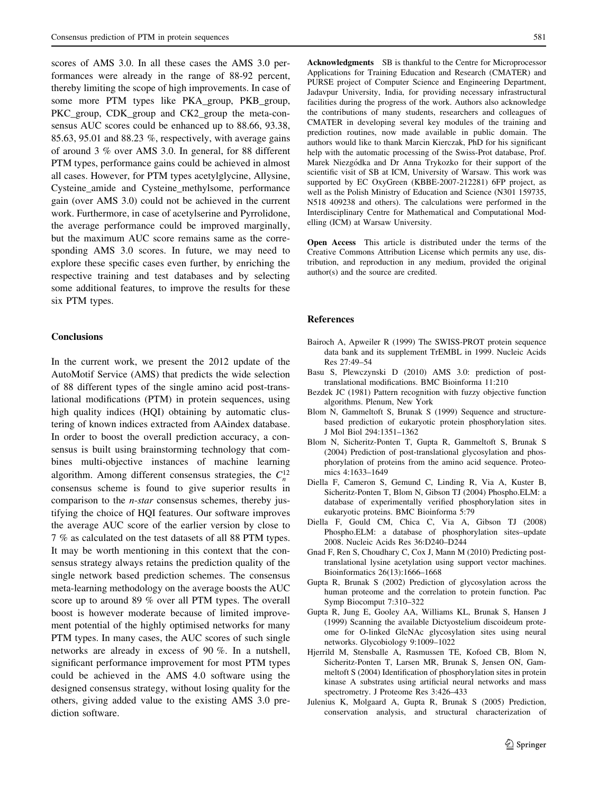<span id="page-8-0"></span>scores of AMS 3.0. In all these cases the AMS 3.0 performances were already in the range of 88-92 percent, thereby limiting the scope of high improvements. In case of some more PTM types like PKA\_group, PKB\_group, PKC group, CDK group and CK2 group the meta-consensus AUC scores could be enhanced up to 88.66, 93.38, 85.63, 95.01 and 88.23 %, respectively, with average gains of around 3 % over AMS 3.0. In general, for 88 different PTM types, performance gains could be achieved in almost all cases. However, for PTM types acetylglycine, Allysine, Cysteine\_amide and Cysteine\_methylsome, performance gain (over AMS 3.0) could not be achieved in the current work. Furthermore, in case of acetylserine and Pyrrolidone, the average performance could be improved marginally, but the maximum AUC score remains same as the corresponding AMS 3.0 scores. In future, we may need to explore these specific cases even further, by enriching the respective training and test databases and by selecting some additional features, to improve the results for these six PTM types.

## **Conclusions**

In the current work, we present the 2012 update of the AutoMotif Service (AMS) that predicts the wide selection of 88 different types of the single amino acid post-translational modifications (PTM) in protein sequences, using high quality indices (HQI) obtaining by automatic clustering of known indices extracted from AAindex database. In order to boost the overall prediction accuracy, a consensus is built using brainstorming technology that combines multi-objective instances of machine learning algorithm. Among different consensus strategies, the  $C_n^{12}$ consensus scheme is found to give superior results in comparison to the n-star consensus schemes, thereby justifying the choice of HQI features. Our software improves the average AUC score of the earlier version by close to 7 % as calculated on the test datasets of all 88 PTM types. It may be worth mentioning in this context that the consensus strategy always retains the prediction quality of the single network based prediction schemes. The consensus meta-learning methodology on the average boosts the AUC score up to around 89 % over all PTM types. The overall boost is however moderate because of limited improvement potential of the highly optimised networks for many PTM types. In many cases, the AUC scores of such single networks are already in excess of 90 %. In a nutshell, significant performance improvement for most PTM types could be achieved in the AMS 4.0 software using the designed consensus strategy, without losing quality for the others, giving added value to the existing AMS 3.0 prediction software.

Acknowledgments SB is thankful to the Centre for Microprocessor Applications for Training Education and Research (CMATER) and PURSE project of Computer Science and Engineering Department, Jadavpur University, India, for providing necessary infrastructural facilities during the progress of the work. Authors also acknowledge the contributions of many students, researchers and colleagues of CMATER in developing several key modules of the training and prediction routines, now made available in public domain. The authors would like to thank Marcin Kierczak, PhD for his significant help with the automatic processing of the Swiss-Prot database, Prof. Marek Niezgódka and Dr Anna Trykozko for their support of the scientific visit of SB at ICM, University of Warsaw. This work was supported by EC OxyGreen (KBBE-2007-212281) 6FP project, as well as the Polish Ministry of Education and Science (N301 159735, N518 409238 and others). The calculations were performed in the Interdisciplinary Centre for Mathematical and Computational Modelling (ICM) at Warsaw University.

Open Access This article is distributed under the terms of the Creative Commons Attribution License which permits any use, distribution, and reproduction in any medium, provided the original author(s) and the source are credited.

#### References

- Bairoch A, Apweiler R (1999) The SWISS-PROT protein sequence data bank and its supplement TrEMBL in 1999. Nucleic Acids Res 27:49–54
- Basu S, Plewczynski D (2010) AMS 3.0: prediction of posttranslational modifications. BMC Bioinforma 11:210
- Bezdek JC (1981) Pattern recognition with fuzzy objective function algorithms. Plenum, New York
- Blom N, Gammeltoft S, Brunak S (1999) Sequence and structurebased prediction of eukaryotic protein phosphorylation sites. J Mol Biol 294:1351–1362
- Blom N, Sicheritz-Ponten T, Gupta R, Gammeltoft S, Brunak S (2004) Prediction of post-translational glycosylation and phosphorylation of proteins from the amino acid sequence. Proteomics 4:1633–1649
- Diella F, Cameron S, Gemund C, Linding R, Via A, Kuster B, Sicheritz-Ponten T, Blom N, Gibson TJ (2004) Phospho.ELM: a database of experimentally verified phosphorylation sites in eukaryotic proteins. BMC Bioinforma 5:79
- Diella F, Gould CM, Chica C, Via A, Gibson TJ (2008) Phospho.ELM: a database of phosphorylation sites–update 2008. Nucleic Acids Res 36:D240–D244
- Gnad F, Ren S, Choudhary C, Cox J, Mann M (2010) Predicting posttranslational lysine acetylation using support vector machines. Bioinformatics 26(13):1666–1668
- Gupta R, Brunak S (2002) Prediction of glycosylation across the human proteome and the correlation to protein function. Pac Symp Biocomput 7:310–322
- Gupta R, Jung E, Gooley AA, Williams KL, Brunak S, Hansen J (1999) Scanning the available Dictyostelium discoideum proteome for O-linked GlcNAc glycosylation sites using neural networks. Glycobiology 9:1009–1022
- Hjerrild M, Stensballe A, Rasmussen TE, Kofoed CB, Blom N, Sicheritz-Ponten T, Larsen MR, Brunak S, Jensen ON, Gammeltoft S (2004) Identification of phosphorylation sites in protein kinase A substrates using artificial neural networks and mass spectrometry. J Proteome Res 3:426–433
- Julenius K, Molgaard A, Gupta R, Brunak S (2005) Prediction, conservation analysis, and structural characterization of